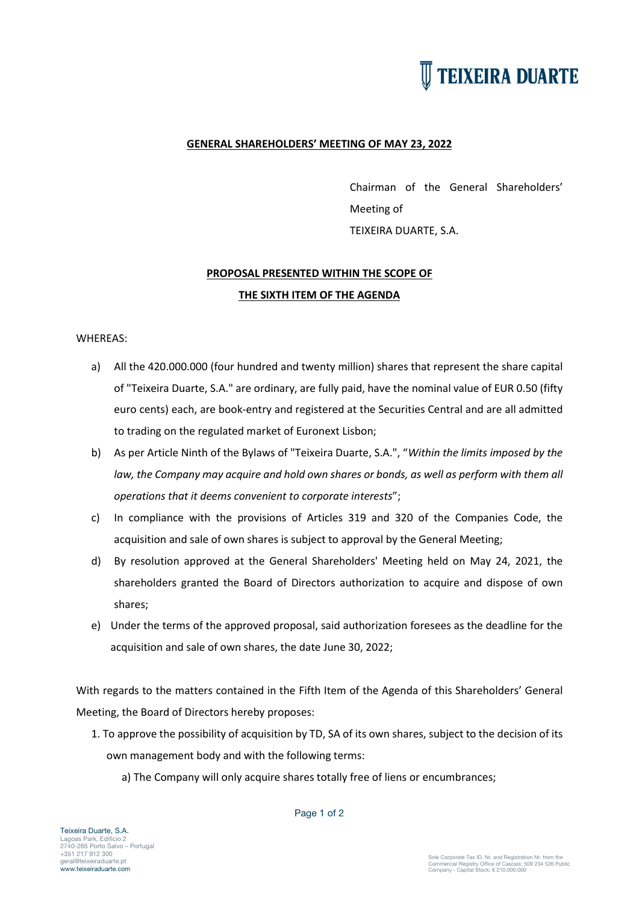

## **GENERAL SHAREHOLDERS' MEETING OF MAY 23, 2022**

Chairman of the General Shareholders' Meeting of TEIXEIRA DUARTE, S.A.

## **PROPOSAL PRESENTED WITHIN THE SCOPE OF THE SIXTH ITEM OF THE AGENDA**

## WHEREAS:

- a) All the 420.000.000 (four hundred and twenty million) shares that represent the share capital of "Teixeira Duarte, S.A." are ordinary, are fully paid, have the nominal value of EUR 0.50 (fifty euro cents) each, are book-entry and registered at the Securities Central and are all admitted to trading on the regulated market of Euronext Lisbon;
- b) As per Article Ninth of the Bylaws of "Teixeira Duarte, S.A.", "*Within the limits imposed by the*  law, the Company may acquire and hold own shares or bonds, as well as perform with them all *operations that it deems convenient to corporate interests*";
- c) In compliance with the provisions of Articles 319 and 320 of the Companies Code, the acquisition and sale of own shares is subject to approval by the General Meeting;
- d) By resolution approved at the General Shareholders' Meeting held on May 24, 2021, the shareholders granted the Board of Directors authorization to acquire and dispose of own shares;
- e) Under the terms of the approved proposal, said authorization foresees as the deadline for the acquisition and sale of own shares, the date June 30, 2022;

With regards to the matters contained in the Fifth Item of the Agenda of this Shareholders' General Meeting, the Board of Directors hereby proposes:

- 1. To approve the possibility of acquisition by TD, SA of its own shares, subject to the decision of its own management body and with the following terms:
	- a) The Company will only acquire shares totally free of liens or encumbrances;

Page 1 of 2